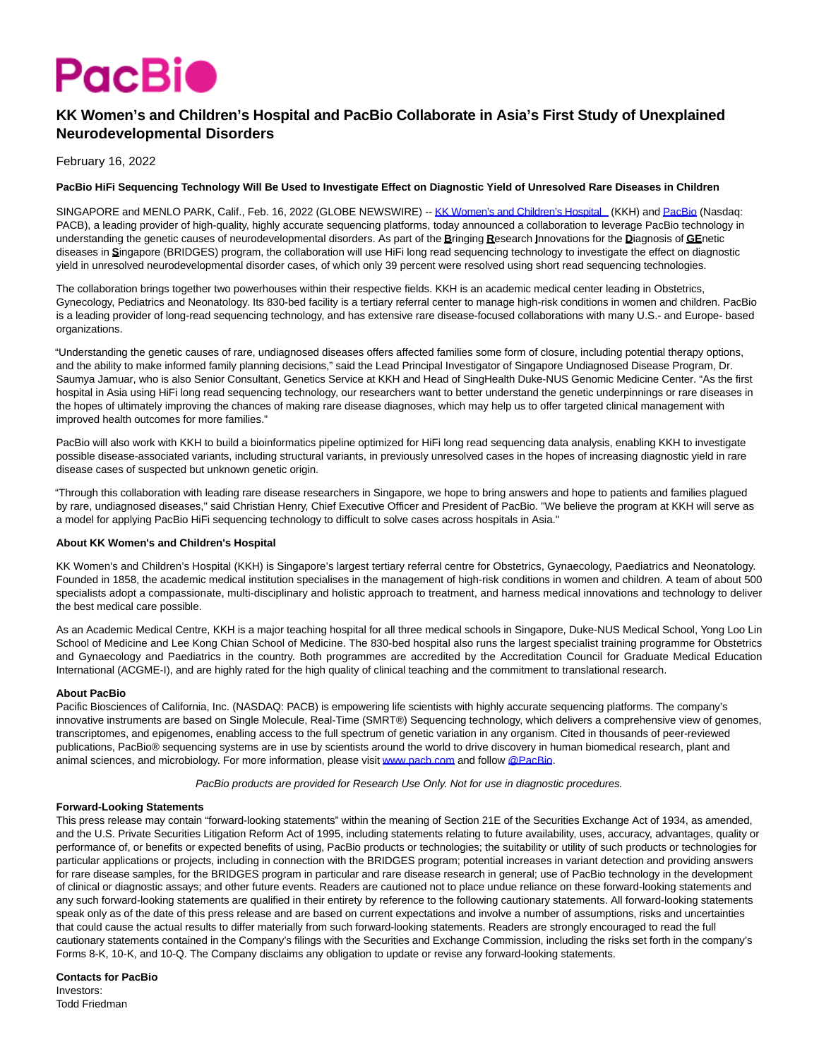

# **KK Women's and Children's Hospital and PacBio Collaborate in Asia's First Study of Unexplained Neurodevelopmental Disorders**

February 16, 2022

## **PacBio HiFi Sequencing Technology Will Be Used to Investigate Effect on Diagnostic Yield of Unresolved Rare Diseases in Children**

SINGAPORE and MENLO PARK, Calif., Feb. 16, 2022 (GLOBE NEWSWIRE) -[- KK Women's and Children's Hospital \(](https://www.globenewswire.com/Tracker?data=S4TFndei_Wmcp-lseDKlt4cQGFo6hkcoNZP3aHRywisJdJqI6r70vUge1qLzrAc-XH4pokE6erDMf79GOLuj230fAoAZUWBXendWEhvfuzXZ7OmBmqi0GgZHEGtqKm6u)KKH) and [PacBio \(](https://www.globenewswire.com/Tracker?data=03J-g86m2OmZ0sRyB7dee4jV8m-MwlnUuVAO4BAjg27SE0GGzeXGK6DiV02zl-Ijfks0LfGFrj2sFDri29S1Aw==)Nasdaq: PACB), a leading provider of high-quality, highly accurate sequencing platforms, today announced a collaboration to leverage PacBio technology in understanding the genetic causes of neurodevelopmental disorders. As part of the **B**ringing **R**esearch **I**nnovations for the **D**iagnosis of **GE**netic diseases in **S**ingapore (BRIDGES) program, the collaboration will use HiFi long read sequencing technology to investigate the effect on diagnostic yield in unresolved neurodevelopmental disorder cases, of which only 39 percent were resolved using short read sequencing technologies.

The collaboration brings together two powerhouses within their respective fields. KKH is an academic medical center leading in Obstetrics, Gynecology, Pediatrics and Neonatology. Its 830-bed facility is a tertiary referral center to manage high-risk conditions in women and children. PacBio is a leading provider of long-read sequencing technology, and has extensive rare disease-focused collaborations with many U.S.- and Europe- based organizations.

"Understanding the genetic causes of rare, undiagnosed diseases offers affected families some form of closure, including potential therapy options, and the ability to make informed family planning decisions," said the Lead Principal Investigator of Singapore Undiagnosed Disease Program, Dr. Saumya Jamuar, who is also Senior Consultant, Genetics Service at KKH and Head of SingHealth Duke-NUS Genomic Medicine Center. "As the first hospital in Asia using HiFi long read sequencing technology, our researchers want to better understand the genetic underpinnings or rare diseases in the hopes of ultimately improving the chances of making rare disease diagnoses, which may help us to offer targeted clinical management with improved health outcomes for more families."

PacBio will also work with KKH to build a bioinformatics pipeline optimized for HiFi long read sequencing data analysis, enabling KKH to investigate possible disease-associated variants, including structural variants, in previously unresolved cases in the hopes of increasing diagnostic yield in rare disease cases of suspected but unknown genetic origin.

"Through this collaboration with leading rare disease researchers in Singapore, we hope to bring answers and hope to patients and families plagued by rare, undiagnosed diseases," said Christian Henry, Chief Executive Officer and President of PacBio. "We believe the program at KKH will serve as a model for applying PacBio HiFi sequencing technology to difficult to solve cases across hospitals in Asia."

### **About KK Women's and Children's Hospital**

KK Women's and Children's Hospital (KKH) is Singapore's largest tertiary referral centre for Obstetrics, Gynaecology, Paediatrics and Neonatology. Founded in 1858, the academic medical institution specialises in the management of high-risk conditions in women and children. A team of about 500 specialists adopt a compassionate, multi-disciplinary and holistic approach to treatment, and harness medical innovations and technology to deliver the best medical care possible.

As an Academic Medical Centre, KKH is a major teaching hospital for all three medical schools in Singapore, Duke-NUS Medical School, Yong Loo Lin School of Medicine and Lee Kong Chian School of Medicine. The 830-bed hospital also runs the largest specialist training programme for Obstetrics and Gynaecology and Paediatrics in the country. Both programmes are accredited by the Accreditation Council for Graduate Medical Education International (ACGME-I), and are highly rated for the high quality of clinical teaching and the commitment to translational research.

### **About PacBio**

Pacific Biosciences of California, Inc. (NASDAQ: PACB) is empowering life scientists with highly accurate sequencing platforms. The company's innovative instruments are based on Single Molecule, Real-Time (SMRT®) Sequencing technology, which delivers a comprehensive view of genomes, transcriptomes, and epigenomes, enabling access to the full spectrum of genetic variation in any organism. Cited in thousands of peer-reviewed publications, PacBio® sequencing systems are in use by scientists around the world to drive discovery in human biomedical research, plant and animal sciences, and microbiology. For more information, please visi[t www.pacb.com a](https://www.globenewswire.com/Tracker?data=HH0DS7rE1OenrtURlcrgR7zx4mALS3J3mIRa5ZjlWqo-XtWCCSnVZAiE8bMPPy4aIxgDduZ1K2VtGKHbEToRo1B5PzIFAbPjhgBVnXYM3N2ENM7kEmtfO2VEKp3qjjR3dggqyOdB4LSi3Bv7jB_T2Qf8rRB3ksZQDDdwJq_dgW0nUVxMInkc3KAE7Qsu3k-8FlOiirngjeUgt_U8vwWD48EgiYmru2zSLDGejRw-2IhMuvuXEtaheafNOi2XVypXob6fljBful6oysqKJTwB2LyiUmNl9SJgWXVNLPybfbNGXLOzB-tE6WPOypiFcwInw0dJe5oAQe97S2sFl7gjtFuEaCEAvWxh3by8Pc-VGdV_3PiJ49h-CXhqsR4kNJCaeddeE1aGUJWfJThlmaNmDs67JOPRoCzZ0CIdSco8abI=)nd follow [@PacBio.](https://www.globenewswire.com/Tracker?data=ivUG2x68rSPKmeTyTbDe1Jo5hInobqsRsJSdhz39DQ7ZiRRE0FKewaRYdXqYSOOtoUHlYniMFFa4JfZ428CA5Q==)

PacBio products are provided for Research Use Only. Not for use in diagnostic procedures.

### **Forward-Looking Statements**

This press release may contain "forward-looking statements" within the meaning of Section 21E of the Securities Exchange Act of 1934, as amended, and the U.S. Private Securities Litigation Reform Act of 1995, including statements relating to future availability, uses, accuracy, advantages, quality or performance of, or benefits or expected benefits of using, PacBio products or technologies; the suitability or utility of such products or technologies for particular applications or projects, including in connection with the BRIDGES program; potential increases in variant detection and providing answers for rare disease samples, for the BRIDGES program in particular and rare disease research in general; use of PacBio technology in the development of clinical or diagnostic assays; and other future events. Readers are cautioned not to place undue reliance on these forward-looking statements and any such forward-looking statements are qualified in their entirety by reference to the following cautionary statements. All forward-looking statements speak only as of the date of this press release and are based on current expectations and involve a number of assumptions, risks and uncertainties that could cause the actual results to differ materially from such forward-looking statements. Readers are strongly encouraged to read the full cautionary statements contained in the Company's filings with the Securities and Exchange Commission, including the risks set forth in the company's Forms 8-K, 10-K, and 10-Q. The Company disclaims any obligation to update or revise any forward-looking statements.

**Contacts for PacBio** Investors: Todd Friedman